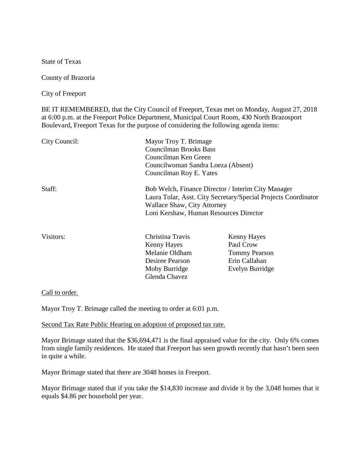State of Texas

County of Brazoria

City of Freeport

BE IT REMEMBERED, that the City Council of Freeport, Texas met on Monday, August 27, 2018 at 6:00 p.m. at the Freeport Police Department, Municipal Court Room, 430 North Brazosport Boulevard, Freeport Texas for the purpose of considering the following agenda items:

| City Council:   | Mayor Troy T. Brimage<br><b>Councilman Brooks Bass</b><br>Councilman Ken Green<br>Councilwoman Sandra Loeza (Absent)<br>Councilman Roy E. Yates |  |                |                                                                                                                                                                                                      |  |
|-----------------|-------------------------------------------------------------------------------------------------------------------------------------------------|--|----------------|------------------------------------------------------------------------------------------------------------------------------------------------------------------------------------------------------|--|
|                 |                                                                                                                                                 |  | Staff:         | Bob Welch, Finance Director / Interim City Manager<br>Laura Tolar, Asst. City Secretary/Special Projects Coordinator<br><b>Wallace Shaw, City Attorney</b><br>Loni Kershaw, Human Resources Director |  |
|                 |                                                                                                                                                 |  |                |                                                                                                                                                                                                      |  |
|                 |                                                                                                                                                 |  | Kenny Hayes    | Paul Crow                                                                                                                                                                                            |  |
|                 |                                                                                                                                                 |  | Melanie Oldham | <b>Tommy Pearson</b>                                                                                                                                                                                 |  |
| Desiree Pearson | Erin Callahan                                                                                                                                   |  |                |                                                                                                                                                                                                      |  |
| Moby Burridge   | Evelyn Burridge                                                                                                                                 |  |                |                                                                                                                                                                                                      |  |
| Glenda Chavez   |                                                                                                                                                 |  |                |                                                                                                                                                                                                      |  |

Call to order.

Mayor Troy T. Brimage called the meeting to order at 6:01 p.m.

Second Tax Rate Public Hearing on adoption of proposed tax rate.

Mayor Brimage stated that the \$36,694,471 is the final appraised value for the city. Only 6% comes from single family residences. He stated that Freeport has seen growth recently that hasn't been seen in quite a while.

Mayor Brimage stated that there are 3048 homes in Freeport.

Mayor Brimage stated that if you take the \$14,830 increase and divide it by the 3,048 homes that it equals \$4.86 per household per year.